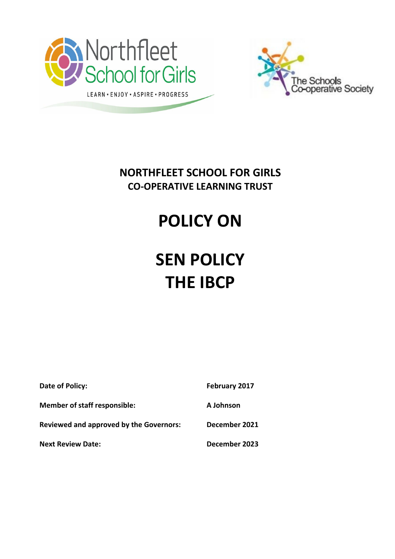



**NORTHFLEET SCHOOL FOR GIRLS CO-OPERATIVE LEARNING TRUST**

## **POLICY ON**

# **SEN POLICY THE IBCP**

| Date of Policy:                                | February 2017 |
|------------------------------------------------|---------------|
| <b>Member of staff responsible:</b>            | A Johnson     |
| <b>Reviewed and approved by the Governors:</b> | December 2021 |
| <b>Next Review Date:</b>                       | December 2023 |